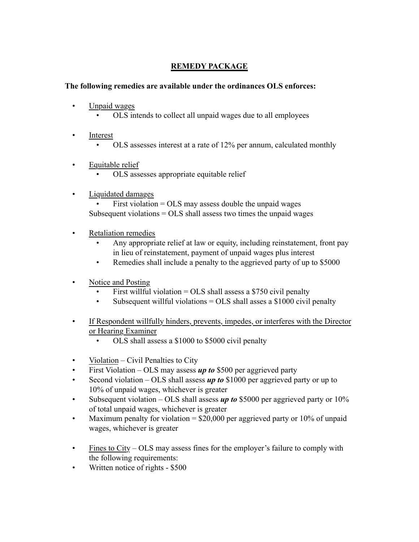## **REMEDY PACKAGE**

## **The following remedies are available under the ordinances OLS enforces:**

- Unpaid wages
	- OLS intends to collect all unpaid wages due to all employees
- Interest
	- OLS assesses interest at a rate of 12% per annum, calculated monthly
- Equitable relief
	- OLS assesses appropriate equitable relief

## • Liquidated damages

First violation  $= OLS$  may assess double the unpaid wages Subsequent violations  $= OLS$  shall assess two times the unpaid wages

- **Retaliation remedies** 
	- Any appropriate relief at law or equity, including reinstatement, front pay in lieu of reinstatement, payment of unpaid wages plus interest
	- Remedies shall include a penalty to the aggrieved party of up to \$5000
- Notice and Posting
	- First willful violation = OLS shall assess a \$750 civil penalty
	- Subsequent willful violations  $= OLS$  shall asses a \$1000 civil penalty
- If Respondent willfully hinders, prevents, impedes, or interferes with the Director or Hearing Examiner
	- OLS shall assess a \$1000 to \$5000 civil penalty
- Violation Civil Penalties to City
- First Violation OLS may assess **up to** \$500 per aggrieved party
- Second violation OLS shall assess *up to* \$1000 per aggrieved party or up to 10% of unpaid wages, whichever is greater
- Subsequent violation OLS shall assess *up to* \$5000 per aggrieved party or 10% of total unpaid wages, whichever is greater
- Maximum penalty for violation =  $$20,000$  per aggrieved party or 10% of unpaid wages, whichever is greater
- Fines to City OLS may assess fines for the employer's failure to comply with the following requirements:
- Written notice of rights \$500